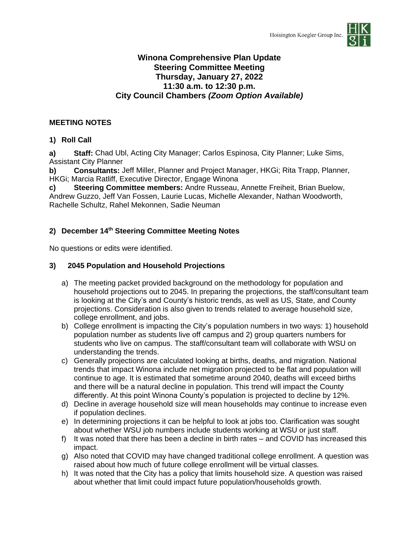

### **Winona Comprehensive Plan Update Steering Committee Meeting Thursday, January 27, 2022 11:30 a.m. to 12:30 p.m. City Council Chambers** *(Zoom Option Available)*

### **MEETING NOTES**

### **1) Roll Call**

**a) Staff:** Chad Ubl, Acting City Manager; Carlos Espinosa, City Planner; Luke Sims, Assistant City Planner

**b) Consultants:** Jeff Miller, Planner and Project Manager, HKGi; Rita Trapp, Planner, HKGi; Marcia Ratliff, Executive Director, Engage Winona

**c) Steering Committee members:** Andre Russeau, Annette Freiheit, Brian Buelow, Andrew Guzzo, Jeff Van Fossen, Laurie Lucas, Michelle Alexander, Nathan Woodworth, Rachelle Schultz, Rahel Mekonnen, Sadie Neuman

### **2) December 14th Steering Committee Meeting Notes**

No questions or edits were identified.

### **3) 2045 Population and Household Projections**

- a) The meeting packet provided background on the methodology for population and household projections out to 2045. In preparing the projections, the staff/consultant team is looking at the City's and County's historic trends, as well as US, State, and County projections. Consideration is also given to trends related to average household size, college enrollment, and jobs.
- b) College enrollment is impacting the City's population numbers in two ways: 1) household population number as students live off campus and 2) group quarters numbers for students who live on campus. The staff/consultant team will collaborate with WSU on understanding the trends.
- c) Generally projections are calculated looking at births, deaths, and migration. National trends that impact Winona include net migration projected to be flat and population will continue to age. It is estimated that sometime around 2040, deaths will exceed births and there will be a natural decline in population. This trend will impact the County differently. At this point Winona County's population is projected to decline by 12%.
- d) Decline in average household size will mean households may continue to increase even if population declines.
- e) In determining projections it can be helpful to look at jobs too. Clarification was sought about whether WSU job numbers include students working at WSU or just staff.
- f) It was noted that there has been a decline in birth rates and COVID has increased this impact.
- g) Also noted that COVID may have changed traditional college enrollment. A question was raised about how much of future college enrollment will be virtual classes.
- h) It was noted that the City has a policy that limits household size. A question was raised about whether that limit could impact future population/households growth.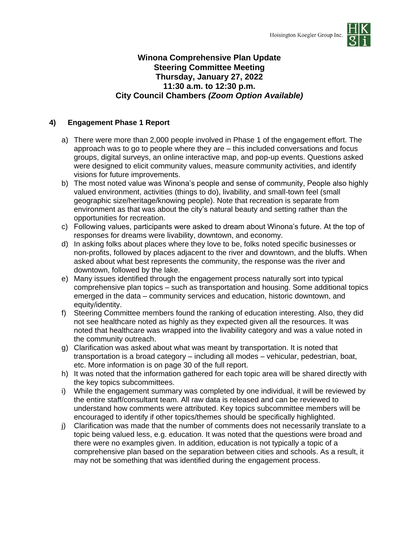

### **Winona Comprehensive Plan Update Steering Committee Meeting Thursday, January 27, 2022 11:30 a.m. to 12:30 p.m. City Council Chambers** *(Zoom Option Available)*

### **4) Engagement Phase 1 Report**

- a) There were more than 2,000 people involved in Phase 1 of the engagement effort. The approach was to go to people where they are – this included conversations and focus groups, digital surveys, an online interactive map, and pop-up events. Questions asked were designed to elicit community values, measure community activities, and identify visions for future improvements.
- b) The most noted value was Winona's people and sense of community, People also highly valued environment, activities (things to do), livability, and small-town feel (small geographic size/heritage/knowing people). Note that recreation is separate from environment as that was about the city's natural beauty and setting rather than the opportunities for recreation.
- c) Following values, participants were asked to dream about Winona's future. At the top of responses for dreams were livability, downtown, and economy.
- d) In asking folks about places where they love to be, folks noted specific businesses or non-profits, followed by places adjacent to the river and downtown, and the bluffs. When asked about what best represents the community, the response was the river and downtown, followed by the lake.
- e) Many issues identified through the engagement process naturally sort into typical comprehensive plan topics – such as transportation and housing. Some additional topics emerged in the data – community services and education, historic downtown, and equity/identity.
- f) Steering Committee members found the ranking of education interesting. Also, they did not see healthcare noted as highly as they expected given all the resources. It was noted that healthcare was wrapped into the livability category and was a value noted in the community outreach.
- g) Clarification was asked about what was meant by transportation. It is noted that transportation is a broad category – including all modes – vehicular, pedestrian, boat, etc. More information is on page 30 of the full report.
- h) It was noted that the information gathered for each topic area will be shared directly with the key topics subcommittees.
- i) While the engagement summary was completed by one individual, it will be reviewed by the entire staff/consultant team. All raw data is released and can be reviewed to understand how comments were attributed. Key topics subcommittee members will be encouraged to identify if other topics/themes should be specifically highlighted.
- j) Clarification was made that the number of comments does not necessarily translate to a topic being valued less, e.g. education. It was noted that the questions were broad and there were no examples given. In addition, education is not typically a topic of a comprehensive plan based on the separation between cities and schools. As a result, it may not be something that was identified during the engagement process.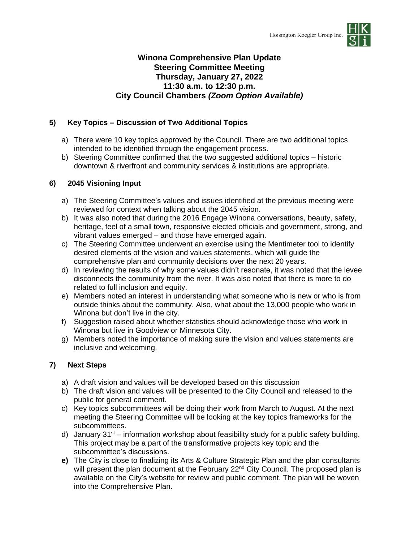

### **Winona Comprehensive Plan Update Steering Committee Meeting Thursday, January 27, 2022 11:30 a.m. to 12:30 p.m. City Council Chambers** *(Zoom Option Available)*

### **5) Key Topics – Discussion of Two Additional Topics**

- a) There were 10 key topics approved by the Council. There are two additional topics intended to be identified through the engagement process.
- b) Steering Committee confirmed that the two suggested additional topics historic downtown & riverfront and community services & institutions are appropriate.

### **6) 2045 Visioning Input**

- a) The Steering Committee's values and issues identified at the previous meeting were reviewed for context when talking about the 2045 vision.
- b) It was also noted that during the 2016 Engage Winona conversations, beauty, safety, heritage, feel of a small town, responsive elected officials and government, strong, and vibrant values emerged – and those have emerged again.
- c) The Steering Committee underwent an exercise using the Mentimeter tool to identify desired elements of the vision and values statements, which will guide the comprehensive plan and community decisions over the next 20 years.
- d) In reviewing the results of why some values didn't resonate, it was noted that the levee disconnects the community from the river. It was also noted that there is more to do related to full inclusion and equity.
- e) Members noted an interest in understanding what someone who is new or who is from outside thinks about the community. Also, what about the 13,000 people who work in Winona but don't live in the city.
- f) Suggestion raised about whether statistics should acknowledge those who work in Winona but live in Goodview or Minnesota City.
- g) Members noted the importance of making sure the vision and values statements are inclusive and welcoming.

### **7) Next Steps**

- a) A draft vision and values will be developed based on this discussion
- b) The draft vision and values will be presented to the City Council and released to the public for general comment.
- c) Key topics subcommittees will be doing their work from March to August. At the next meeting the Steering Committee will be looking at the key topics frameworks for the subcommittees.
- d) January  $31^{st}$  information workshop about feasibility study for a public safety building. This project may be a part of the transformative projects key topic and the subcommittee's discussions.
- **e)** The City is close to finalizing its Arts & Culture Strategic Plan and the plan consultants will present the plan document at the February 22<sup>nd</sup> City Council. The proposed plan is available on the City's website for review and public comment. The plan will be woven into the Comprehensive Plan.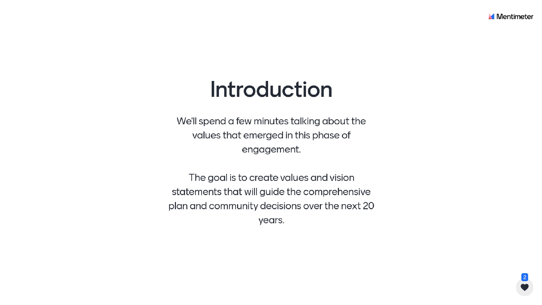## Introduction

We'll spend a few minutes talking about the values that emerged in this phase of engagement.

The goal is to create values and vision statements that will guide the comprehensive plan and community decisions over the next 20 years.



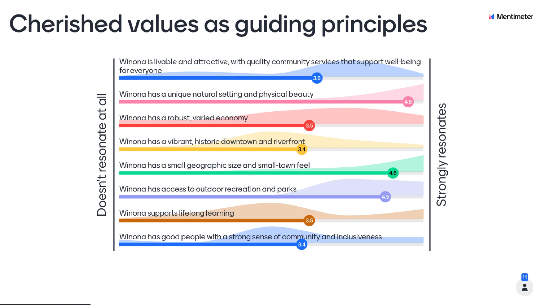# Cherished values as guiding principles

 $\overline{\overline{5}}$ td resonate desn't  $\triangle$ 

for everyone

Winona has a unique natural setting and physical beauty

Winona has a robust, varied economy

Winona has a vibrant, historic downtown and riverfront

Winona has a small geographic size and small-town feel

Winona has access to outdoor recreation and parks

Winona supports lifelong learning

Winona has good people with a strong sense of community and inclusiveness





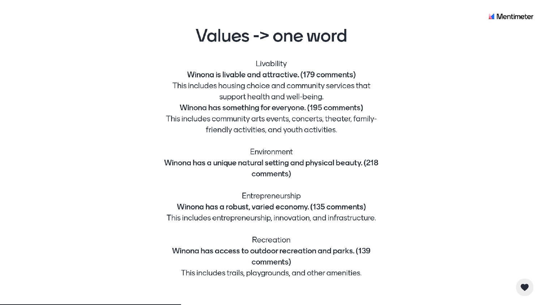### Values -> one word

Livability support health and well-being.

Winona is livable and attractive. (179 comments) Winona has something for everyone. (195 comments)

This includes housing choice and community services that This includes community arts events, concerts, theater, family-

friendly activities, and youth activities.

Environment Winona has a unique natural setting and physical beauty. (218) comments)

Entrepreneurship

Winona has a robust, varied economy. (135 comments) This includes entrepreneurship, innovation, and infrastructure.

> Recreation comments)

Winona has access to outdoor recreation and parks. (139) This includes trails, playgrounds, and other amenities.



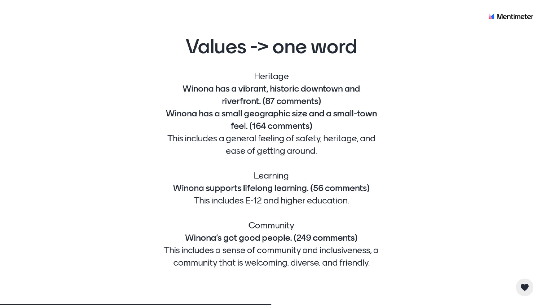### Values -> one word

Winona has a vibrant, historic downtown and

riverfront. (87 comments)

Winona has a small geographic size and a small-town

feel. (164 comments)

This includes a general feeling of safety, heritage, and

ease of getting around.

Learning Winona supports lifelong learning. (56 comments) This includes E-12 and higher education.

Community Winona's got good people. (249 comments) This includes a sense of community and inclusiveness, a community that is welcoming, diverse, and friendly.



Heritage

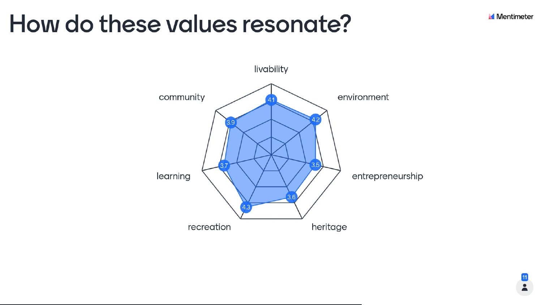## How do these values resonate?



livability



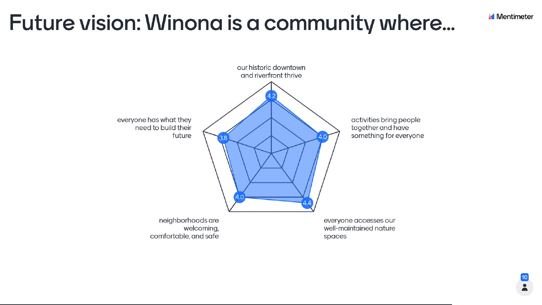## Future vision: Winona is a community where...



neighborhoods are welcoming, comfortable, and safe

everyone has what they need to build their

our historic downtown

activities bring people together and have something for everyone

everyone accesses our well-maintained nature spaces